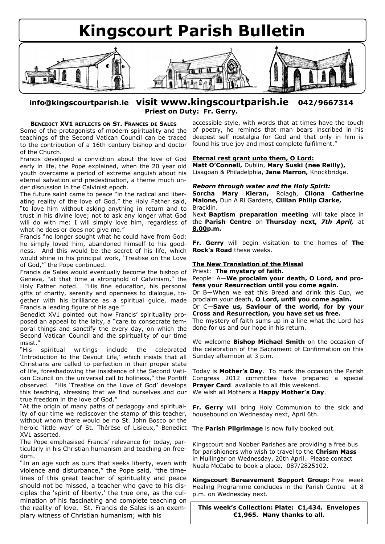# **Kingscourt Parish Bulletin**



# **info@kingscourtparish.ie visit www.kingscourtparish.ie 042/9667314 Priest on Duty: Fr. Gerry.**

## **BENEDICT XV1 REFLECTS ON ST. FRANCIS DE SALES**

Some of the protagonists of modern spirituality and the teachings of the Second Vatican Council can be traced to the contribution of a 16th century bishop and doctor of the Church.

Francis developed a conviction about the love of God early in life, the Pope explained, when the 20 year old youth overcame a period of extreme anguish about his eternal salvation and predestination, a theme much under discussion in the Calvinist epoch.

The future saint came to peace "in the radical and liberating reality of the love of God," the Holy Father said, "to love him without asking anything in return and to trust in his divine love; not to ask any longer what God will do with me: I will simply love him, regardless of what he does or does not give me."

Francis "no longer sought what he could have from God; he simply loved him, abandoned himself to his goodness. And this would be the secret of his life, which would shine in his principal work, "Treatise on the Love of God,"" the Pope continued.

Francis de Sales would eventually become the bishop of Geneva, "at that time a stronghold of Calvinism," the Holy Father noted. "His fine education, his personal gifts of charity, serenity and openness to dialogue, together with his brilliance as a spiritual guide, made Francis a leading figure of his age.'

Benedict XV1 pointed out how Francis' spirituality proposed an appeal to the laity, a "care to consecrate temporal things and sanctify the every day, on which the Second Vatican Council and the spirituality of our time insist."

"His spiritual writings include the celebrated 'Introduction to the Devout Life,' which insists that all Christians are called to perfection in their proper state of life, foreshadowing the insistence of the Second Vatican Council on the universal call to holiness," the Pontiff observed. "His "Treatise on the Love of God" develops this teaching, stressing that we find ourselves and our true freedom in the love of God."

"At the origin of many paths of pedagogy and spirituality of our time we rediscover the stamp of this teacher, without whom there would be no St. John Bosco or the heroic "little way" of St. Thérèse of Lisieux," Benedict XV1 asserted.

The Pope emphasised Francis' relevance for today, particularly in his Christian humanism and teaching on freedom.

"In an age such as ours that seeks liberty, even with violence and disturbance," the Pope said, "the timelines of this great teacher of spirituality and peace should not be missed, a teacher who gave to his disciples the 'spirit of liberty,' the true one, as the culmination of his fascinating and complete teaching on the reality of love. St. Francis de Sales is an exemplary witness of Christian humanism; with his

accessible style, with words that at times have the touch of poetry, he reminds that man bears inscribed in his deepest self nostalgia for God and that only in him is found his true joy and most complete fulfilment."

## **Eternal rest grant unto them, O Lord:**

**Matt O'Connell,** Dublin, **Mary Suski (nee Reilly),**  Lisagoan & Philadelphia, **Jane Marron,** Knockbridge.

#### *Reborn through water and the Holy Spirit:* **Sorcha Mary Kieran,** Rolagh, **Clíona Catherine Malone,** Dun A Ri Gardens, **Cillian Philip Clarke,**

Bracklin.

Next **Baptism preparation meeting** will take place in the **Parish Centre** on **Thursday next,** *7th April,* at **8.00p.m.** 

**Fr. Gerry** will begin visitation to the homes of **The Rock's Road** these weeks.

## **The New Translation of the Missal**

Priest: **The mystery of faith.**

People: A—**We proclaim your death, O Lord, and profess your Resurrection until you come again.**

Or B—When we eat this Bread and drink this Cup, we proclaim your death, **O Lord, until you come again.**

### Or C—**Save us, Saviour of the world, for by your Cross and Resurrection, you have set us free.**

The mystery of faith sums up in a line what the Lord has done for us and our hope in his return.

We welcome **Bishop Michael Smith** on the occasion of the celebration of the Sacrament of Confirmation on this Sunday afternoon at 3 p.m.

Today is **Mother's Day**. To mark the occasion the Parish Congress 2012 committee have prepared a special **Prayer Card** available to all this weekend. We wish all Mothers a **Happy Mother's Day**.

**Fr. Gerry** will bring Holy Communion to the sick and housebound on Wednesday next, April 6th.

The **Parish Pilgrimage** is now fully booked out.

Kingscourt and Nobber Parishes are providing a free bus for parishioners who wish to travel to the **Chrism Mass** in Mullingar on Wednesday, 20th April. Please contact Nuala McCabe to book a place. 087/2825102.

**Kingscourt Bereavement Support Group:** Five week Healing Programme concludes in the Parish Centre at 8 p.m. on Wednesday next.

**This week's Collection: Plate: €1,434. Envelopes €1,965. Many thanks to all.**